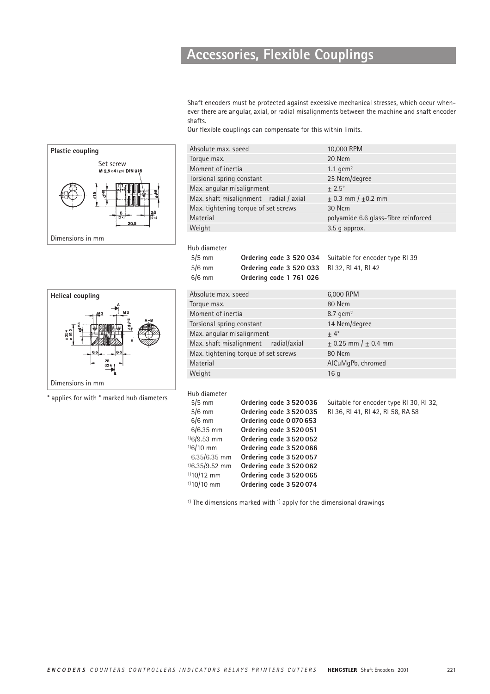## **Accessories, Flexible Couplings**

Shaft encoders must be protected against excessive mechanical stresses, which occur whenever there are angular, axial, or radial misalignments between the machine and shaft encoder shafts.

Our flexible couplings can compensate for this within limits.

|   | Absolute max. speed                    |                                                                       | 10,000 RPM                              |
|---|----------------------------------------|-----------------------------------------------------------------------|-----------------------------------------|
|   | Torque max.                            |                                                                       | 20 Ncm                                  |
|   | Moment of inertia                      |                                                                       | 1.1 $qcm2$                              |
|   | Torsional spring constant              |                                                                       | 25 Ncm/degree                           |
|   | Max. angular misalignment              |                                                                       | $\pm 2.5^{\circ}$                       |
|   | Max. shaft misalignment radial / axial |                                                                       | $\pm$ 0.3 mm / $\pm$ 0.2 mm             |
|   |                                        | Max. tightening torque of set screws                                  | 30 Ncm                                  |
|   | Material                               |                                                                       | polyamide 6.6 glass-fibre reinforced    |
|   | Weight                                 |                                                                       | 3.5 g approx.                           |
|   |                                        |                                                                       |                                         |
|   | Hub diameter                           |                                                                       |                                         |
|   | $5/5$ mm                               | Ordering code 3 520 034                                               | Suitable for encoder type RI 39         |
|   | $5/6$ mm                               | Ordering code 3 520 033                                               | RI 32, RI 41, RI 42                     |
|   | $6/6$ mm                               | Ordering code 1 761 026                                               |                                         |
|   |                                        |                                                                       |                                         |
|   | Absolute max. speed                    |                                                                       | 6,000 RPM                               |
|   | Torque max.                            |                                                                       | 80 Ncm                                  |
|   | Moment of inertia                      |                                                                       | $8.7$ qcm <sup>2</sup>                  |
|   | Torsional spring constant              |                                                                       | 14 Ncm/degree                           |
|   | Max. angular misalignment              |                                                                       | $\pm 4^{\circ}$                         |
|   | Max. shaft misalignment                | radial/axial                                                          | $\pm$ 0.25 mm / $\pm$ 0.4 mm            |
|   |                                        | Max. tightening torque of set screws                                  | 80 Ncm                                  |
|   | Material                               |                                                                       | AICuMgPb, chromed                       |
|   | Weight                                 |                                                                       | 16q                                     |
|   |                                        |                                                                       |                                         |
| S | Hub diameter                           |                                                                       |                                         |
|   | $5/5$ mm                               | Ordering code 3 520 036                                               | Suitable for encoder type RI 30, RI 32, |
|   | $5/6$ mm                               | Ordering code 3 520 035                                               | RI 36, RI 41, RI 42, RI 58, RA 58       |
|   | $6/6$ mm                               | Ordering code 0070653                                                 |                                         |
|   | $6/6.35$ mm                            | Ordering code 3 520 051                                               |                                         |
|   | $106/9.53$ mm<br>$106/10$ mm           | Ordering code 3 520 052                                               |                                         |
|   | $6.35/6.35$ mm                         | Ordering code 3 520 066<br>Ordering code 3 520 057                    |                                         |
|   | $^{1}$ 6.35/9.52 mm                    | Ordering code 3 520 062                                               |                                         |
|   | $110/12$ mm                            | Ordering code 3 520 065                                               |                                         |
|   | $1)10/10$ mm                           | Ordering code 3 520 074                                               |                                         |
|   |                                        |                                                                       |                                         |
|   |                                        | $1$ The dimensions marked with $1$ apply for the dimensional drawings |                                         |
|   |                                        |                                                                       |                                         |
|   |                                        |                                                                       |                                         |
|   |                                        |                                                                       |                                         |
|   |                                        |                                                                       |                                         |
|   |                                        |                                                                       |                                         |
|   |                                        |                                                                       |                                         |





 $*$  applies for with  $*$  marked hub diameter